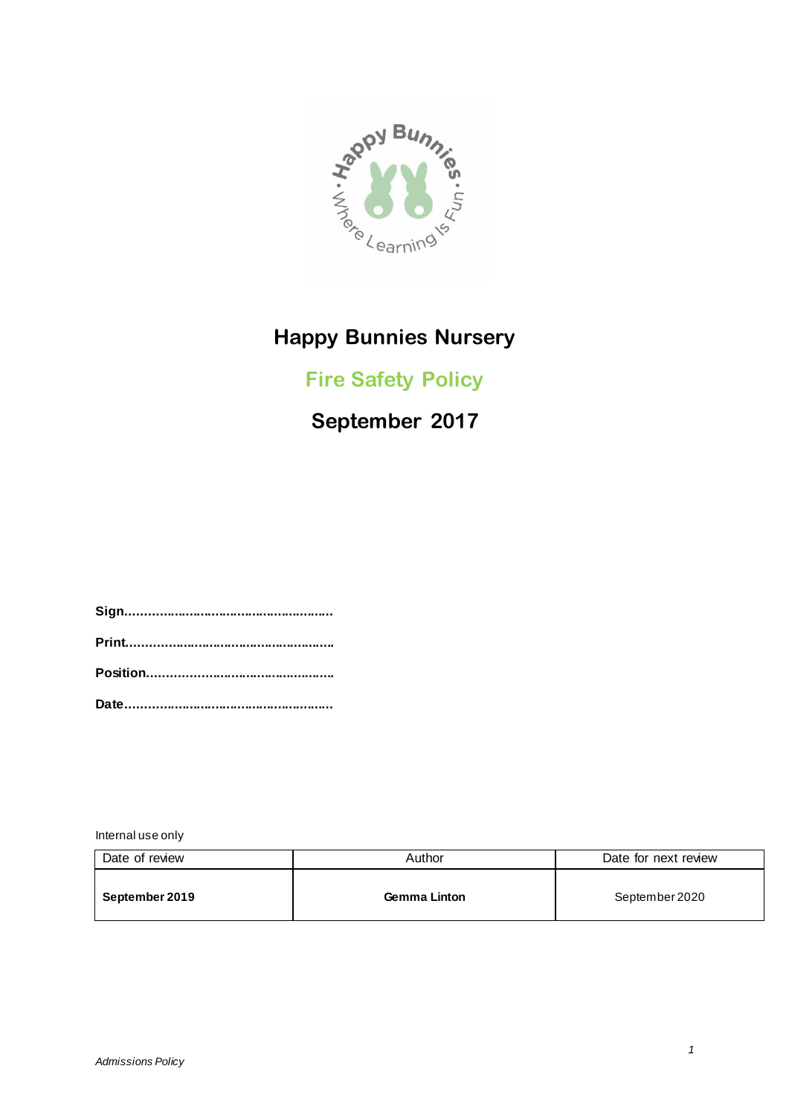

# **Happy Bunnies Nursery**

## **Fire Safety Policy**

# **September 2017**

**Sign........................................................ Print........................................................ Position.................................................. Date........................................................**

Internal use only

| Date of review | Author              | Date for next review |  |
|----------------|---------------------|----------------------|--|
| September 2019 | <b>Gemma Linton</b> | September 2020       |  |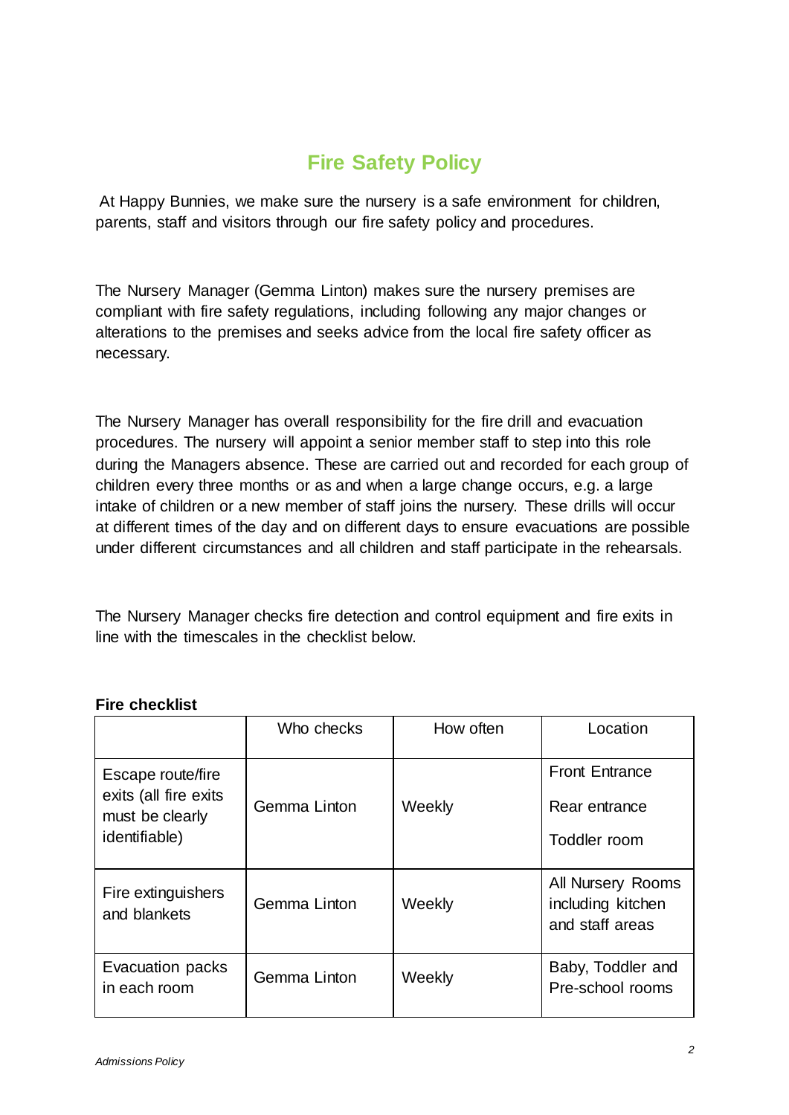### **Fire Safety Policy**

At Happy Bunnies, we make sure the nursery is a safe environment for children, parents, staff and visitors through our fire safety policy and procedures.

The Nursery Manager (Gemma Linton) makes sure the nursery premises are compliant with fire safety regulations, including following any major changes or alterations to the premises and seeks advice from the local fire safety officer as necessary.

The Nursery Manager has overall responsibility for the fire drill and evacuation procedures. The nursery will appoint a senior member staff to step into this role during the Managers absence. These are carried out and recorded for each group of children every three months or as and when a large change occurs, e.g. a large intake of children or a new member of staff joins the nursery. These drills will occur at different times of the day and on different days to ensure evacuations are possible under different circumstances and all children and staff participate in the rehearsals.

The Nursery Manager checks fire detection and control equipment and fire exits in line with the timescales in the checklist below.

|                                                                                        | Who checks   | How often | Location                                                  |
|----------------------------------------------------------------------------------------|--------------|-----------|-----------------------------------------------------------|
| Escape route/fire<br>exits (all fire exits<br>must be clearly<br><i>identifiable</i> ) | Gemma Linton | Weekly    | <b>Front Entrance</b><br>Rear entrance<br>Toddler room    |
| Fire extinguishers<br>and blankets                                                     | Gemma Linton | Weekly    | All Nursery Rooms<br>including kitchen<br>and staff areas |
| Evacuation packs<br>in each room                                                       | Gemma Linton | Weekly    | Baby, Toddler and<br>Pre-school rooms                     |

#### **Fire checklist**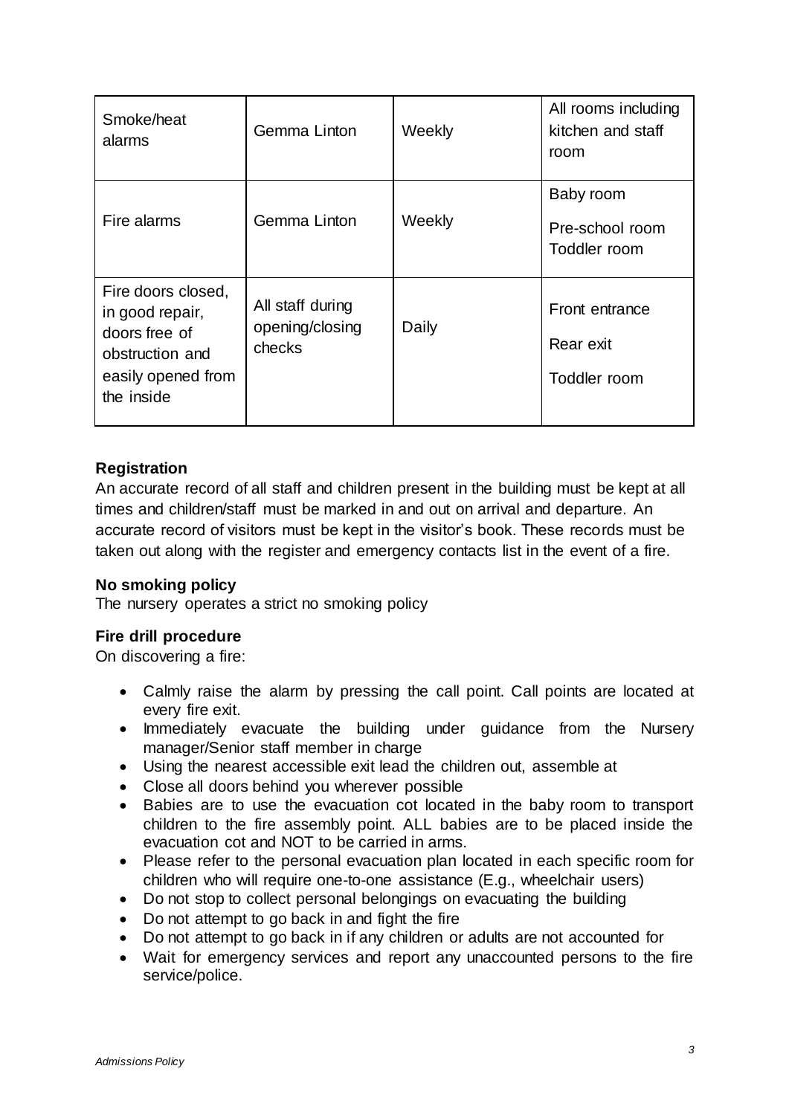| Smoke/heat<br>alarms                                                                                          | Gemma Linton                                  | Weekly | All rooms including<br>kitchen and staff<br>room |
|---------------------------------------------------------------------------------------------------------------|-----------------------------------------------|--------|--------------------------------------------------|
| Fire alarms                                                                                                   | Gemma Linton                                  | Weekly | Baby room<br>Pre-school room<br>Toddler room     |
| Fire doors closed,<br>in good repair,<br>doors free of<br>obstruction and<br>easily opened from<br>the inside | All staff during<br>opening/closing<br>checks | Daily  | Front entrance<br>Rear exit<br>Toddler room      |

### **Registration**

An accurate record of all staff and children present in the building must be kept at all times and children/staff must be marked in and out on arrival and departure. An accurate record of visitors must be kept in the visitor's book. These records must be taken out along with the register and emergency contacts list in the event of a fire.

#### **No smoking policy**

The nursery operates a strict no smoking policy

#### **Fire drill procedure**

On discovering a fire:

- Calmly raise the alarm by pressing the call point. Call points are located at every fire exit.
- Immediately evacuate the building under guidance from the Nursery manager/Senior staff member in charge
- Using the nearest accessible exit lead the children out, assemble at
- Close all doors behind you wherever possible
- Babies are to use the evacuation cot located in the baby room to transport children to the fire assembly point. ALL babies are to be placed inside the evacuation cot and NOT to be carried in arms.
- Please refer to the personal evacuation plan located in each specific room for children who will require one-to-one assistance (E.g., wheelchair users)
- Do not stop to collect personal belongings on evacuating the building
- Do not attempt to go back in and fight the fire
- Do not attempt to go back in if any children or adults are not accounted for
- Wait for emergency services and report any unaccounted persons to the fire service/police.